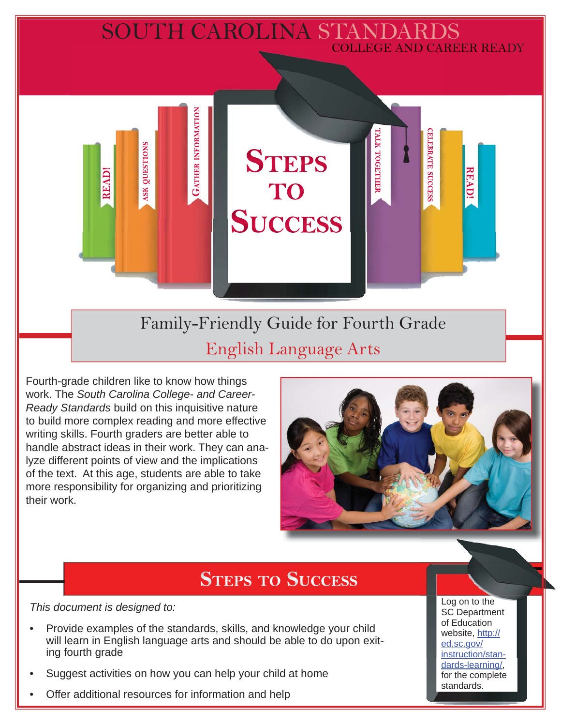## SOUTH CAROLINA STANDARDS COLLEGE AND CAREER READY

Family-Friendly Guide for Fourth Grade English Language Arts

**STEPS** 

TO

**SUCCESS** 

Fourth-grade children like to know how things work. The *South Carolina College- and Career-Ready Standards* build on this inquisitive nature to build more complex reading and more effective writing skills. Fourth graders are better able to handle abstract ideas in their work. They can analyze different points of view and the implications of the text. At this age, students are able to take more responsibility for organizing and prioritizing their work.

**GATHER INFORMATION** 

**SK QUESTIONS** 

**READ!** 



**CELEBRATE SUCCESS** 

**READ!** 

ГАГК ТОGЕТНЕЕ

# **STEPS TO SUCCESS**

*This document is designed to:* 

- Provide examples of the standards, skills, and knowledge your child will learn in English language arts and should be able to do upon exiting fourth grade
- Suggest activities on how you can help your child at home
- Offer additional resources for information and help

Log on to the SC Department of Education website, http:// ed.sc.gov/ instruction/standards-learning/, for the complete standards.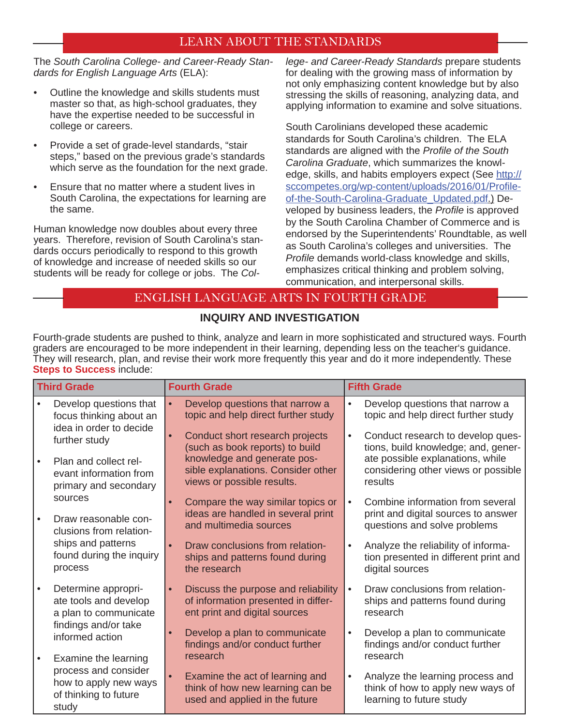#### LEARN ABOUT THE STANDARDS

The *South Carolina College- and Career-Ready Standards for English Language Arts* (ELA):

- Outline the knowledge and skills students must master so that, as high-school graduates, they have the expertise needed to be successful in college or careers.
- Provide a set of grade-level standards, "stair steps," based on the previous grade's standards which serve as the foundation for the next grade.
- Ensure that no matter where a student lives in South Carolina, the expectations for learning are the same.

Human knowledge now doubles about every three years. Therefore, revision of South Carolina's standards occurs periodically to respond to this growth of knowledge and increase of needed skills so our students will be ready for college or jobs. The *Col-* *lege- and Career-Ready Standards* prepare students for dealing with the growing mass of information by not only emphasizing content knowledge but by also stressing the skills of reasoning, analyzing data, and applying information to examine and solve situations.

South Carolinians developed these academic standards for South Carolina's children. The ELA standards are aligned with the *Profile of the South Carolina Graduate*, which summarizes the knowledge, skills, and habits employers expect (See http:// sccompetes.org/wp-content/uploads/2016/01/Profileof-the-South-Carolina-Graduate\_Updated.pdf.) Developed by business leaders, the *Profile* is approved by the South Carolina Chamber of Commerce and is endorsed by the Superintendents' Roundtable, as well as South Carolina's colleges and universities. The **Profile demands world-class knowledge and skills,** emphasizes critical thinking and problem solving, communication, and interpersonal skills.

#### ENGLISH LANGUAGE ARTS IN FOURTH GRADE

#### **INQUIRY AND INVESTIGATION**

Fourth-grade students are pushed to think, analyze and learn in more sophisticated and structured ways. Fourth graders are encouraged to be more independent in their learning, depending less on the teacher's guidance. They will research, plan, and revise their work more frequently this year and do it more independently. These **Steps to Success** include:

| <b>Third Grade</b> |                                                                                 | <b>Fourth Grade</b> |                                                                                                             | <b>Fifth Grade</b> |                                                                                                         |
|--------------------|---------------------------------------------------------------------------------|---------------------|-------------------------------------------------------------------------------------------------------------|--------------------|---------------------------------------------------------------------------------------------------------|
|                    | Develop questions that<br>focus thinking about an<br>idea in order to decide    |                     | Develop questions that narrow a<br>topic and help direct further study                                      | $\bullet$          | Develop questions that narrow a<br>topic and help direct further study                                  |
|                    | further study                                                                   |                     | Conduct short research projects<br>(such as book reports) to build                                          | $\bullet$          | Conduct research to develop ques-<br>tions, build knowledge; and, gener-                                |
|                    | Plan and collect rel-<br>evant information from<br>primary and secondary        |                     | knowledge and generate pos-<br>sible explanations. Consider other<br>views or possible results.             |                    | ate possible explanations, while<br>considering other views or possible<br>results                      |
|                    | sources<br>Draw reasonable con-<br>clusions from relation-                      |                     | Compare the way similar topics or<br>ideas are handled in several print<br>and multimedia sources           | $\bullet$          | Combine information from several<br>print and digital sources to answer<br>questions and solve problems |
|                    | ships and patterns<br>found during the inquiry<br>process                       |                     | Draw conclusions from relation-<br>ships and patterns found during<br>the research                          | $\bullet$          | Analyze the reliability of informa-<br>tion presented in different print and<br>digital sources         |
|                    | Determine appropri-<br>ate tools and develop<br>a plan to communicate           |                     | Discuss the purpose and reliability<br>of information presented in differ-<br>ent print and digital sources | $\bullet$          | Draw conclusions from relation-<br>ships and patterns found during<br>research                          |
|                    | findings and/or take<br>informed action<br>Examine the learning                 |                     | Develop a plan to communicate<br>findings and/or conduct further<br>research                                | $\bullet$          | Develop a plan to communicate<br>findings and/or conduct further<br>research                            |
|                    | process and consider<br>how to apply new ways<br>of thinking to future<br>study |                     | Examine the act of learning and<br>think of how new learning can be<br>used and applied in the future       | $\bullet$          | Analyze the learning process and<br>think of how to apply new ways of<br>learning to future study       |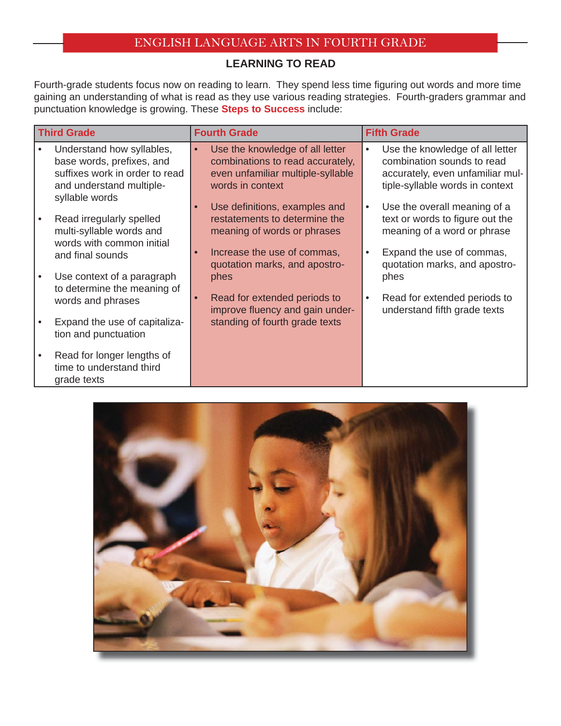#### **LEARNING TO READ**

Fourth-grade students focus now on reading to learn. They spend less time figuring out words and more time gaining an understanding of what is read as they use various reading strategies. Fourth-graders grammar and punctuation knowledge is growing. These **Steps to Success** include:

| <b>Third Grade</b> |                                                                                                                                        | <b>Fourth Grade</b> |                                                                                                                              | <b>Fifth Grade</b> |                                                                                                                                      |
|--------------------|----------------------------------------------------------------------------------------------------------------------------------------|---------------------|------------------------------------------------------------------------------------------------------------------------------|--------------------|--------------------------------------------------------------------------------------------------------------------------------------|
|                    | Understand how syllables,<br>base words, prefixes, and<br>suffixes work in order to read<br>and understand multiple-<br>syllable words | $\bullet$           | Use the knowledge of all letter<br>combinations to read accurately,<br>even unfamiliar multiple-syllable<br>words in context | $\bullet$          | Use the knowledge of all letter<br>combination sounds to read<br>accurately, even unfamiliar mul-<br>tiple-syllable words in context |
|                    | Read irregularly spelled<br>multi-syllable words and<br>words with common initial                                                      | О                   | Use definitions, examples and<br>restatements to determine the<br>meaning of words or phrases                                | $\bullet$          | Use the overall meaning of a<br>text or words to figure out the<br>meaning of a word or phrase                                       |
|                    | and final sounds<br>Use context of a paragraph                                                                                         | О                   | Increase the use of commas,<br>quotation marks, and apostro-<br>phes                                                         | $\bullet$          | Expand the use of commas,<br>quotation marks, and apostro-<br>phes                                                                   |
|                    | to determine the meaning of<br>words and phrases                                                                                       |                     | Read for extended periods to<br>improve fluency and gain under-                                                              | $\bullet$          | Read for extended periods to<br>understand fifth grade texts                                                                         |
|                    | Expand the use of capitaliza-<br>tion and punctuation                                                                                  |                     | standing of fourth grade texts                                                                                               |                    |                                                                                                                                      |
|                    | Read for longer lengths of<br>time to understand third<br>grade texts                                                                  |                     |                                                                                                                              |                    |                                                                                                                                      |

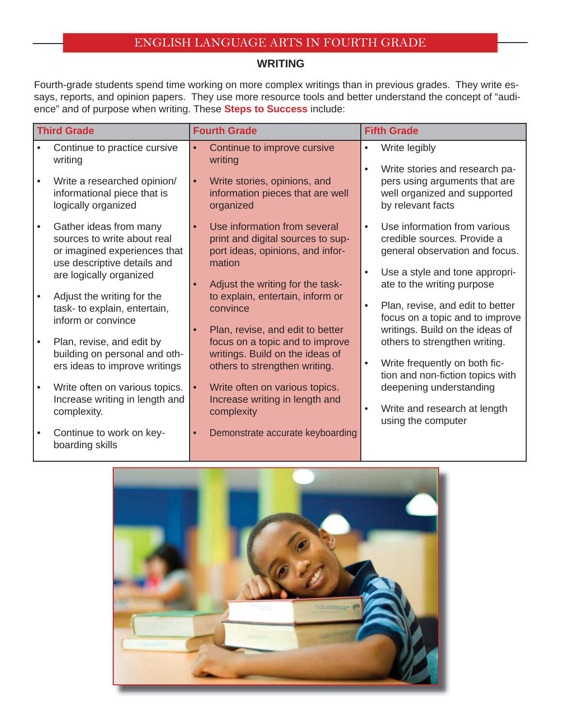#### **WRITING**

Fourth-grade students spend time working on more complex writings than in previous grades. They write essays, reports, and opinion papers. They use more resource tools and better understand the concept of "audience" and of purpose when writing. These **Steps to Success** include:

| <b>Third Grade</b> |                                                                                                                      | <b>Fourth Grade</b>                                                                                                          |                        | <b>Fifth Grade</b>                                                                                     |  |  |
|--------------------|----------------------------------------------------------------------------------------------------------------------|------------------------------------------------------------------------------------------------------------------------------|------------------------|--------------------------------------------------------------------------------------------------------|--|--|
|                    | Continue to practice cursive<br>writing                                                                              | Continue to improve cursive<br>$\bullet$<br>writing                                                                          | $\bullet$<br>$\bullet$ | Write legibly<br>Write stories and research pa-                                                        |  |  |
|                    | Write a researched opinion/<br>informational piece that is<br>logically organized                                    | Write stories, opinions, and<br>$\bullet$<br>information pieces that are well<br>organized                                   |                        | pers using arguments that are<br>well organized and supported<br>by relevant facts                     |  |  |
|                    | Gather ideas from many<br>sources to write about real<br>or imagined experiences that<br>use descriptive details and | Use information from several<br>$\bullet$<br>print and digital sources to sup-<br>port ideas, opinions, and infor-<br>mation | $\bullet$              | Use information from various<br>credible sources. Provide a<br>general observation and focus.          |  |  |
|                    | are logically organized                                                                                              | Adjust the writing for the task-                                                                                             | $\bullet$              | Use a style and tone appropri-<br>ate to the writing purpose                                           |  |  |
|                    | Adjust the writing for the<br>task- to explain, entertain,<br>inform or convince                                     | to explain, entertain, inform or<br>convince<br>Plan, revise, and edit to better                                             | $\bullet$              | Plan, revise, and edit to better<br>focus on a topic and to improve<br>writings. Build on the ideas of |  |  |
|                    | Plan, revise, and edit by<br>building on personal and oth-                                                           | focus on a topic and to improve<br>writings. Build on the ideas of                                                           |                        | others to strengthen writing.                                                                          |  |  |
|                    | ers ideas to improve writings                                                                                        | others to strengthen writing.                                                                                                | $\bullet$              | Write frequently on both fic-<br>tion and non-fiction topics with                                      |  |  |
| $\bullet$          | Write often on various topics.<br>Increase writing in length and                                                     | Write often on various topics.<br>$\bullet$<br>Increase writing in length and                                                |                        | deepening understanding                                                                                |  |  |
|                    | complexity.                                                                                                          | complexity                                                                                                                   | $\bullet$              | Write and research at length<br>using the computer                                                     |  |  |
|                    | Continue to work on key-<br>boarding skills                                                                          | Demonstrate accurate keyboarding                                                                                             |                        |                                                                                                        |  |  |

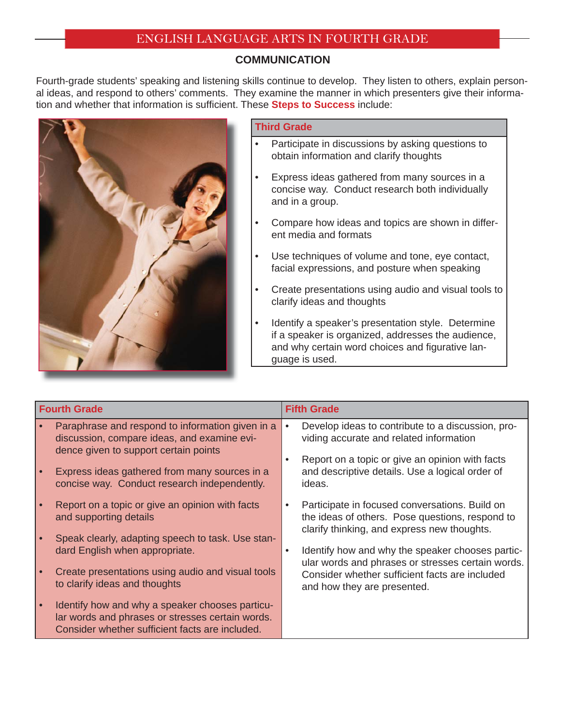#### **COMMUNICATION**

Fourth-grade students' speaking and listening skills continue to develop. They listen to others, explain personal ideas, and respond to others' comments. They examine the manner in which presenters give their information and whether that information is sufficient. These **Steps to Success** include:



#### **Third Grade**

- Participate in discussions by asking questions to obtain information and clarify thoughts
- Express ideas gathered from many sources in a concise way. Conduct research both individually and in a group.
- Compare how ideas and topics are shown in different media and formats
- Use techniques of volume and tone, eye contact, facial expressions, and posture when speaking
- Create presentations using audio and visual tools to clarify ideas and thoughts
- Identify a speaker's presentation style. Determine if a speaker is organized, addresses the audience, and why certain word choices and figurative language is used.

| Paraphrase and respond to information given in a<br>$\bullet$<br>discussion, compare ideas, and examine evi-<br>dence given to support certain points<br>Express ideas gathered from many sources in a<br>concise way. Conduct research independently.<br>ideas.<br>Report on a topic or give an opinion with facts<br>and supporting details<br>Speak clearly, adapting speech to task. Use stan-<br>dard English when appropriate.<br>$\bullet$<br>Create presentations using audio and visual tools | <b>Fifth Grade</b>                                                                                                                                                                                                                                                                                                                         |  |  |
|--------------------------------------------------------------------------------------------------------------------------------------------------------------------------------------------------------------------------------------------------------------------------------------------------------------------------------------------------------------------------------------------------------------------------------------------------------------------------------------------------------|--------------------------------------------------------------------------------------------------------------------------------------------------------------------------------------------------------------------------------------------------------------------------------------------------------------------------------------------|--|--|
|                                                                                                                                                                                                                                                                                                                                                                                                                                                                                                        | Develop ideas to contribute to a discussion, pro-<br>viding accurate and related information<br>Report on a topic or give an opinion with facts<br>and descriptive details. Use a logical order of                                                                                                                                         |  |  |
| to clarify ideas and thoughts<br>Identify how and why a speaker chooses particu-<br>lar words and phrases or stresses certain words.<br>Consider whether sufficient facts are included.                                                                                                                                                                                                                                                                                                                | Participate in focused conversations. Build on<br>the ideas of others. Pose questions, respond to<br>clarify thinking, and express new thoughts.<br>Identify how and why the speaker chooses partic-<br>ular words and phrases or stresses certain words.<br>Consider whether sufficient facts are included<br>and how they are presented. |  |  |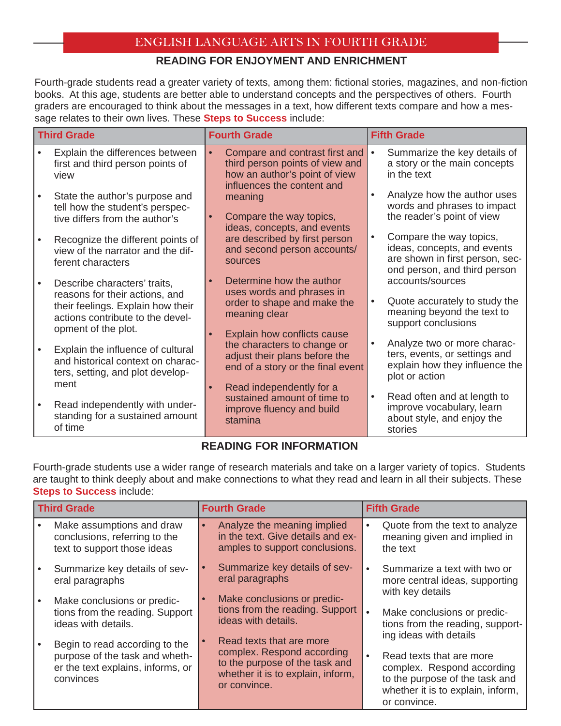#### **READING FOR ENJOYMENT AND ENRICHMENT**

Fourth-grade students read a greater variety of texts, among them: fictional stories, magazines, and non-fiction books. At this age, students are better able to understand concepts and the perspectives of others. Fourth graders are encouraged to think about the messages in a text, how different texts compare and how a message relates to their own lives. These **Steps to Success** include:

| <b>Third Grade</b> |                                                                                                                                                                | <b>Fourth Grade</b>                                                                                                                  | <b>Fifth Grade</b>                                                                                                                     |  |
|--------------------|----------------------------------------------------------------------------------------------------------------------------------------------------------------|--------------------------------------------------------------------------------------------------------------------------------------|----------------------------------------------------------------------------------------------------------------------------------------|--|
|                    | Explain the differences between<br>first and third person points of<br>view                                                                                    | Compare and contrast first and<br>third person points of view and<br>how an author's point of view<br>influences the content and     | Summarize the key details of<br>a story or the main concepts<br>in the text                                                            |  |
|                    | State the author's purpose and<br>tell how the student's perspec-<br>tive differs from the author's                                                            | meaning<br>Compare the way topics,<br>ideas, concepts, and events                                                                    | Analyze how the author uses<br>words and phrases to impact<br>the reader's point of view                                               |  |
|                    | Recognize the different points of<br>view of the narrator and the dif-<br>ferent characters                                                                    | are described by first person<br>and second person accounts/<br>sources                                                              | Compare the way topics,<br>$\bullet$<br>ideas, concepts, and events<br>are shown in first person, sec-<br>ond person, and third person |  |
|                    | Describe characters' traits,<br>reasons for their actions, and<br>their feelings. Explain how their<br>actions contribute to the devel-<br>opment of the plot. | Determine how the author<br>uses words and phrases in<br>order to shape and make the<br>meaning clear<br>Explain how conflicts cause | accounts/sources<br>Quote accurately to study the<br>$\bullet$<br>meaning beyond the text to<br>support conclusions                    |  |
|                    | Explain the influence of cultural<br>and historical context on charac-<br>ters, setting, and plot develop-<br>ment                                             | the characters to change or<br>adjust their plans before the<br>end of a story or the final event<br>Read independently for a        | Analyze two or more charac-<br>ters, events, or settings and<br>explain how they influence the<br>plot or action                       |  |
|                    | Read independently with under-<br>standing for a sustained amount<br>of time                                                                                   | sustained amount of time to<br>improve fluency and build<br>stamina                                                                  | Read often and at length to<br>$\bullet$<br>improve vocabulary, learn<br>about style, and enjoy the<br>stories                         |  |

#### **READING FOR INFORMATION**

Fourth-grade students use a wider range of research materials and take on a larger variety of topics. Students are taught to think deeply about and make connections to what they read and learn in all their subjects. These **Steps to Success** include:

| <b>Third Grade</b> |                                                                                                                    | <b>Fourth Grade</b>                                                                                                                           | <b>Fifth Grade</b>                                                                                                                                                      |  |
|--------------------|--------------------------------------------------------------------------------------------------------------------|-----------------------------------------------------------------------------------------------------------------------------------------------|-------------------------------------------------------------------------------------------------------------------------------------------------------------------------|--|
|                    | Make assumptions and draw<br>conclusions, referring to the<br>text to support those ideas                          | Analyze the meaning implied<br>in the text. Give details and ex-<br>amples to support conclusions.                                            | Quote from the text to analyze<br>٠<br>meaning given and implied in<br>the text                                                                                         |  |
|                    | Summarize key details of sev-<br>eral paragraphs                                                                   | Summarize key details of sev-<br>eral paragraphs                                                                                              | Summarize a text with two or<br>more central ideas, supporting<br>with key details                                                                                      |  |
|                    | Make conclusions or predic-<br>tions from the reading. Support<br>ideas with details.                              | Make conclusions or predic-<br>$\bullet$<br>tions from the reading. Support<br>ideas with details.                                            | Make conclusions or predic-<br>tions from the reading, support-                                                                                                         |  |
|                    | Begin to read according to the<br>purpose of the task and wheth-<br>er the text explains, informs, or<br>convinces | Read texts that are more<br>complex. Respond according<br>to the purpose of the task and<br>whether it is to explain, inform,<br>or convince. | ing ideas with details<br>Read texts that are more<br>complex. Respond according<br>to the purpose of the task and<br>whether it is to explain, inform,<br>or convince. |  |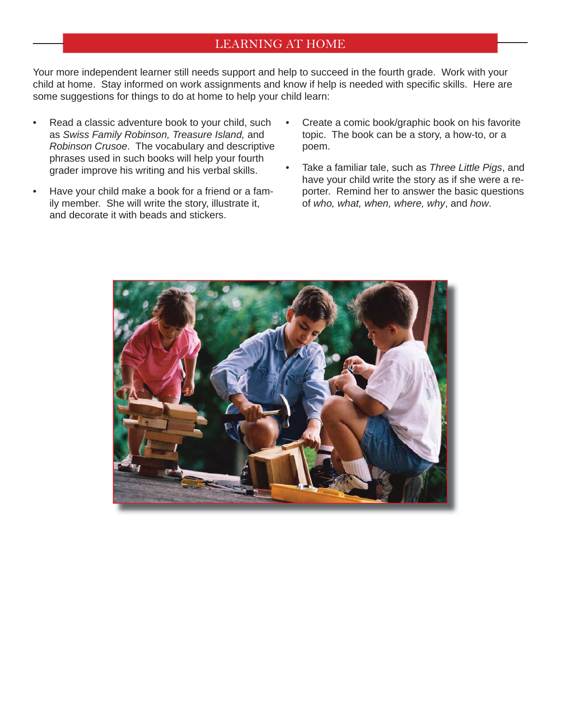#### LEARNING AT HOME

Your more independent learner still needs support and help to succeed in the fourth grade. Work with your child at home. Stay informed on work assignments and know if help is needed with specific skills. Here are some suggestions for things to do at home to help your child learn:

- Read a classic adventure book to your child, such as *Swiss Family Robinson, Treasure Island,* and *Robinson Crusoe*. The vocabulary and descriptive phrases used in such books will help your fourth grader improve his writing and his verbal skills.
- Have your child make a book for a friend or a family member. She will write the story, illustrate it, and decorate it with beads and stickers.
- Create a comic book/graphic book on his favorite topic. The book can be a story, a how-to, or a poem.
- Take a familiar tale, such as *Three Little Pigs*, and have your child write the story as if she were a reporter. Remind her to answer the basic questions of *who, what, when, where, why*, and *how*.